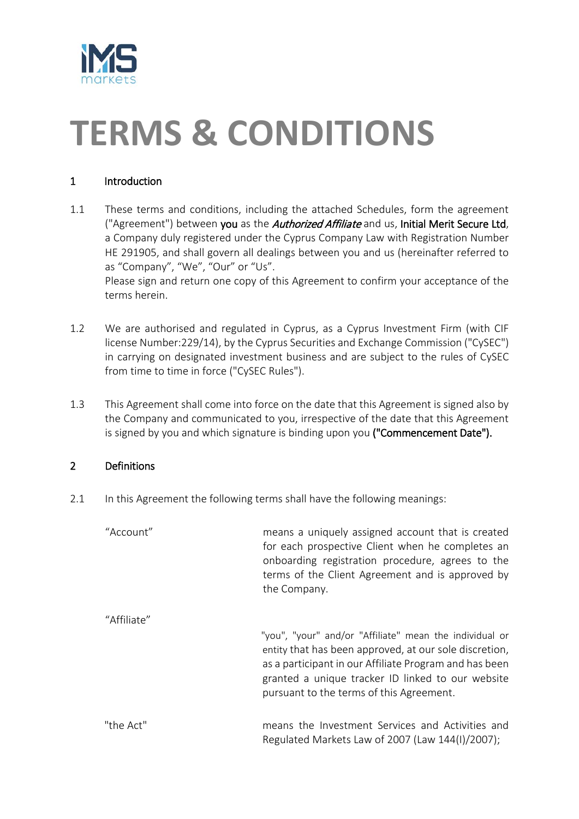

# **TERMS & CONDITIONS**

# 1 Introduction

1.1 These terms and conditions, including the attached Schedules, form the agreement ("Agreement") between you as the *Authorized Affiliate* and us, Initial Merit Secure Ltd, a Company duly registered under the Cyprus Company Law with Registration Number HE 291905, and shall govern all dealings between you and us (hereinafter referred to as "Company", "We", "Our" or "Us".

Please sign and return one copy of this Agreement to confirm your acceptance of the terms herein.

- 1.2 We are authorised and regulated in Cyprus, as a Cyprus Investment Firm (with CIF license Number:229/14), by the Cyprus Securities and Exchange Commission ("CySEC") in carrying on designated investment business and are subject to the rules of CySEC from time to time in force ("CySEC Rules").
- 1.3 This Agreement shall come into force on the date that this Agreement is signed also by the Company and communicated to you, irrespective of the date that this Agreement is signed by you and which signature is binding upon you ("Commencement Date").

## 2 Definitions

2.1 In this Agreement the following terms shall have the following meanings:

| "Account"   | means a uniquely assigned account that is created<br>for each prospective Client when he completes an<br>onboarding registration procedure, agrees to the<br>terms of the Client Agreement and is approved by<br>the Company.                                                |
|-------------|------------------------------------------------------------------------------------------------------------------------------------------------------------------------------------------------------------------------------------------------------------------------------|
| "Affiliate" | "you", "your" and/or "Affiliate" mean the individual or<br>entity that has been approved, at our sole discretion,<br>as a participant in our Affiliate Program and has been<br>granted a unique tracker ID linked to our website<br>pursuant to the terms of this Agreement. |
| "the Act"   | means the Investment Services and Activities and<br>Regulated Markets Law of 2007 (Law 144(I)/2007);                                                                                                                                                                         |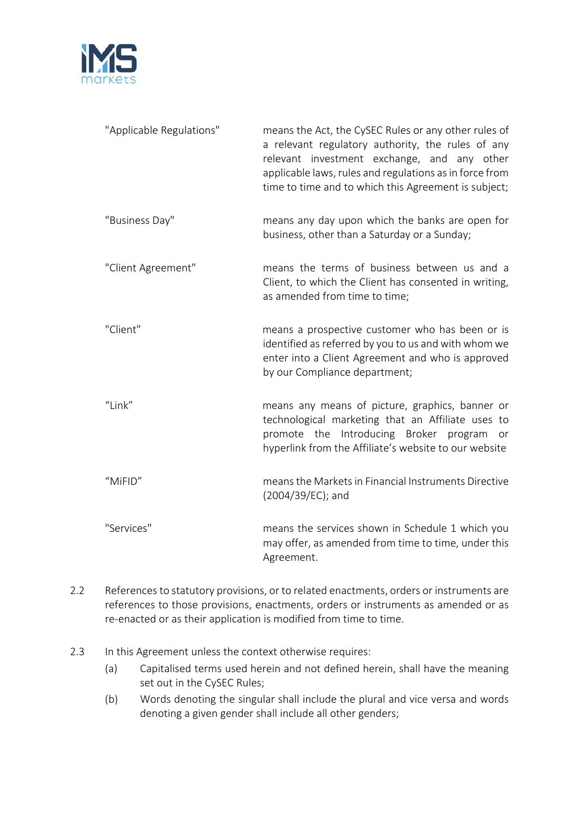

| "Applicable Regulations" | means the Act, the CySEC Rules or any other rules of<br>a relevant regulatory authority, the rules of any<br>relevant investment exchange, and any other<br>applicable laws, rules and regulations as in force from<br>time to time and to which this Agreement is subject; |
|--------------------------|-----------------------------------------------------------------------------------------------------------------------------------------------------------------------------------------------------------------------------------------------------------------------------|
| "Business Day"           | means any day upon which the banks are open for<br>business, other than a Saturday or a Sunday;                                                                                                                                                                             |
| "Client Agreement"       | means the terms of business between us and a<br>Client, to which the Client has consented in writing,<br>as amended from time to time;                                                                                                                                      |
| "Client"                 | means a prospective customer who has been or is<br>identified as referred by you to us and with whom we<br>enter into a Client Agreement and who is approved<br>by our Compliance department;                                                                               |
| "Link"                   | means any means of picture, graphics, banner or<br>technological marketing that an Affiliate uses to<br>promote the Introducing Broker program<br>or<br>hyperlink from the Affiliate's website to our website                                                               |
| "MiFID"                  | means the Markets in Financial Instruments Directive<br>(2004/39/EC); and                                                                                                                                                                                                   |
| "Services"               | means the services shown in Schedule 1 which you<br>may offer, as amended from time to time, under this<br>Agreement.                                                                                                                                                       |

- 2.2 References to statutory provisions, or to related enactments, orders or instruments are references to those provisions, enactments, orders or instruments as amended or as re-enacted or as their application is modified from time to time.
- 2.3 In this Agreement unless the context otherwise requires:
	- (a) Capitalised terms used herein and not defined herein, shall have the meaning set out in the CySEC Rules;
	- (b) Words denoting the singular shall include the plural and vice versa and words denoting a given gender shall include all other genders;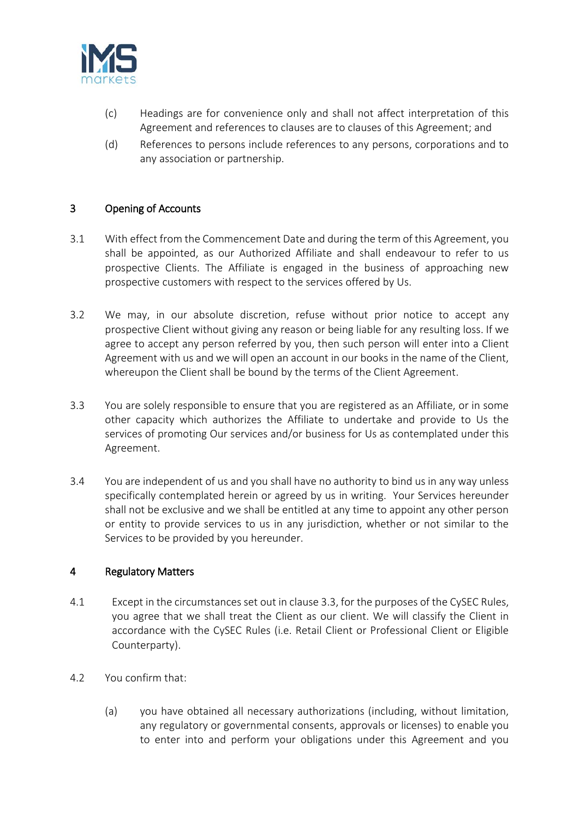

- (c) Headings are for convenience only and shall not affect interpretation of this Agreement and references to clauses are to clauses of this Agreement; and
- (d) References to persons include references to any persons, corporations and to any association or partnership.

## 3 Opening of Accounts

- 3.1 With effect from the Commencement Date and during the term of this Agreement, you shall be appointed, as our Authorized Affiliate and shall endeavour to refer to us prospective Clients. The Affiliate is engaged in the business of approaching new prospective customers with respect to the services offered by Us.
- 3.2 We may, in our absolute discretion, refuse without prior notice to accept any prospective Client without giving any reason or being liable for any resulting loss. If we agree to accept any person referred by you, then such person will enter into a Client Agreement with us and we will open an account in our books in the name of the Client, whereupon the Client shall be bound by the terms of the Client Agreement.
- 3.3 You are solely responsible to ensure that you are registered as an Affiliate, or in some other capacity which authorizes the Affiliate to undertake and provide to Us the services of promoting Our services and/or business for Us as contemplated under this Agreement.
- 3.4 You are independent of us and you shall have no authority to bind us in any way unless specifically contemplated herein or agreed by us in writing. Your Services hereunder shall not be exclusive and we shall be entitled at any time to appoint any other person or entity to provide services to us in any jurisdiction, whether or not similar to the Services to be provided by you hereunder.

#### 4 Regulatory Matters

- 4.1 Except in the circumstances set out in clause 3.3, for the purposes of the CySEC Rules, you agree that we shall treat the Client as our client. We will classify the Client in accordance with the CySEC Rules (i.e. Retail Client or Professional Client or Eligible Counterparty).
- 4.2 You confirm that:
	- (a) you have obtained all necessary authorizations (including, without limitation, any regulatory or governmental consents, approvals or licenses) to enable you to enter into and perform your obligations under this Agreement and you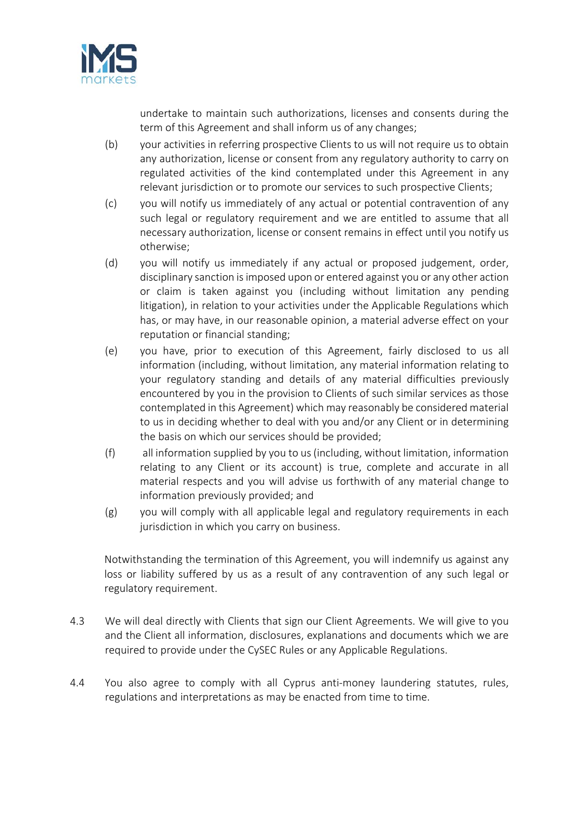

undertake to maintain such authorizations, licenses and consents during the term of this Agreement and shall inform us of any changes;

- (b) your activities in referring prospective Clients to us will not require us to obtain any authorization, license or consent from any regulatory authority to carry on regulated activities of the kind contemplated under this Agreement in any relevant jurisdiction or to promote our services to such prospective Clients;
- (c) you will notify us immediately of any actual or potential contravention of any such legal or regulatory requirement and we are entitled to assume that all necessary authorization, license or consent remains in effect until you notify us otherwise;
- (d) you will notify us immediately if any actual or proposed judgement, order, disciplinary sanction is imposed upon or entered against you or any other action or claim is taken against you (including without limitation any pending litigation), in relation to your activities under the Applicable Regulations which has, or may have, in our reasonable opinion, a material adverse effect on your reputation or financial standing;
- (e) you have, prior to execution of this Agreement, fairly disclosed to us all information (including, without limitation, any material information relating to your regulatory standing and details of any material difficulties previously encountered by you in the provision to Clients of such similar services as those contemplated in this Agreement) which may reasonably be considered material to us in deciding whether to deal with you and/or any Client or in determining the basis on which our services should be provided;
- (f) all information supplied by you to us (including, without limitation, information relating to any Client or its account) is true, complete and accurate in all material respects and you will advise us forthwith of any material change to information previously provided; and
- (g) you will comply with all applicable legal and regulatory requirements in each jurisdiction in which you carry on business.

Notwithstanding the termination of this Agreement, you will indemnify us against any loss or liability suffered by us as a result of any contravention of any such legal or regulatory requirement.

- 4.3 We will deal directly with Clients that sign our Client Agreements. We will give to you and the Client all information, disclosures, explanations and documents which we are required to provide under the CySEC Rules or any Applicable Regulations.
- 4.4 You also agree to comply with all Cyprus anti-money laundering statutes, rules, regulations and interpretations as may be enacted from time to time.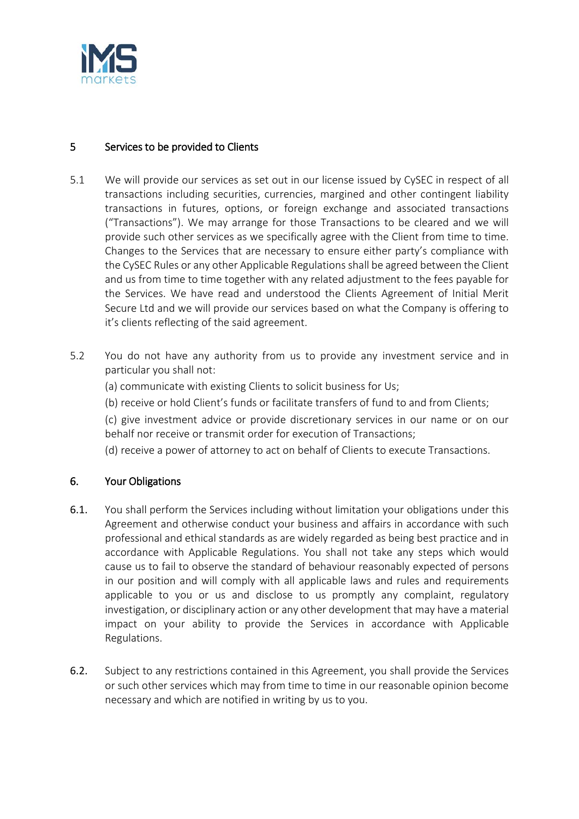

## 5 Services to be provided to Clients

- 5.1 We will provide our services as set out in our license issued by CySEC in respect of all transactions including securities, currencies, margined and other contingent liability transactions in futures, options, or foreign exchange and associated transactions ("Transactions"). We may arrange for those Transactions to be cleared and we will provide such other services as we specifically agree with the Client from time to time. Changes to the Services that are necessary to ensure either party's compliance with the CySEC Rules or any other Applicable Regulations shall be agreed between the Client and us from time to time together with any related adjustment to the fees payable for the Services. We have read and understood the Clients Agreement of Initial Merit Secure Ltd and we will provide our services based on what the Company is offering to it's clients reflecting of the said agreement.
- 5.2 You do not have any authority from us to provide any investment service and in particular you shall not:
	- (a) communicate with existing Clients to solicit business for Us;
	- (b) receive or hold Client's funds or facilitate transfers of fund to and from Clients;

(c) give investment advice or provide discretionary services in our name or on our behalf nor receive or transmit order for execution of Transactions;

(d) receive a power of attorney to act on behalf of Clients to execute Transactions.

## 6. Your Obligations

- 6.1. You shall perform the Services including without limitation your obligations under this Agreement and otherwise conduct your business and affairs in accordance with such professional and ethical standards as are widely regarded as being best practice and in accordance with Applicable Regulations. You shall not take any steps which would cause us to fail to observe the standard of behaviour reasonably expected of persons in our position and will comply with all applicable laws and rules and requirements applicable to you or us and disclose to us promptly any complaint, regulatory investigation, or disciplinary action or any other development that may have a material impact on your ability to provide the Services in accordance with Applicable Regulations.
- 6.2. Subject to any restrictions contained in this Agreement, you shall provide the Services or such other services which may from time to time in our reasonable opinion become necessary and which are notified in writing by us to you.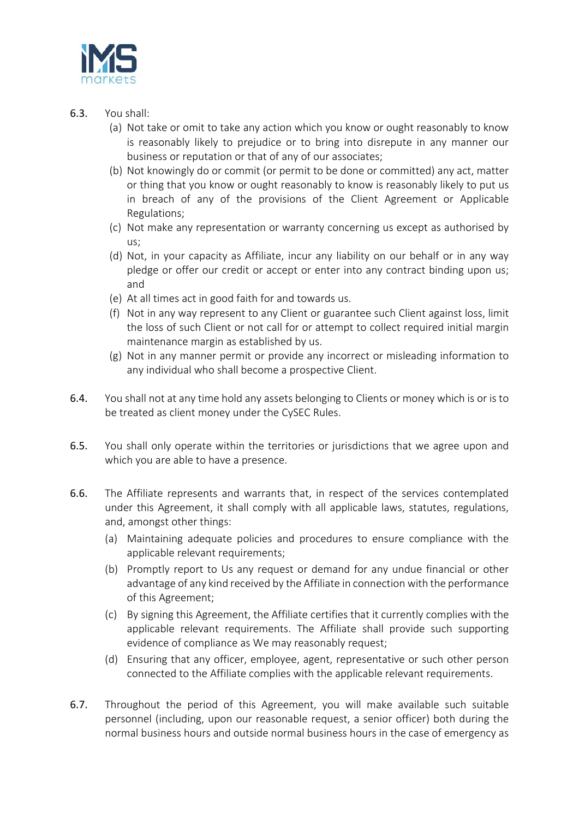

- 6.3. You shall:
	- (a) Not take or omit to take any action which you know or ought reasonably to know is reasonably likely to prejudice or to bring into disrepute in any manner our business or reputation or that of any of our associates;
	- (b) Not knowingly do or commit (or permit to be done or committed) any act, matter or thing that you know or ought reasonably to know is reasonably likely to put us in breach of any of the provisions of the Client Agreement or Applicable Regulations;
	- (c) Not make any representation or warranty concerning us except as authorised by us;
	- (d) Not, in your capacity as Affiliate, incur any liability on our behalf or in any way pledge or offer our credit or accept or enter into any contract binding upon us; and
	- (e) At all times act in good faith for and towards us.
	- (f) Not in any way represent to any Client or guarantee such Client against loss, limit the loss of such Client or not call for or attempt to collect required initial margin maintenance margin as established by us.
	- (g) Not in any manner permit or provide any incorrect or misleading information to any individual who shall become a prospective Client.
- 6.4. You shall not at any time hold any assets belonging to Clients or money which is or is to be treated as client money under the CySEC Rules.
- 6.5. You shall only operate within the territories or jurisdictions that we agree upon and which you are able to have a presence.
- 6.6. The Affiliate represents and warrants that, in respect of the services contemplated under this Agreement, it shall comply with all applicable laws, statutes, regulations, and, amongst other things:
	- (a) Maintaining adequate policies and procedures to ensure compliance with the applicable relevant requirements;
	- (b) Promptly report to Us any request or demand for any undue financial or other advantage of any kind received by the Affiliate in connection with the performance of this Agreement;
	- (c) By signing this Agreement, the Affiliate certifies that it currently complies with the applicable relevant requirements. The Affiliate shall provide such supporting evidence of compliance as We may reasonably request;
	- (d) Ensuring that any officer, employee, agent, representative or such other person connected to the Affiliate complies with the applicable relevant requirements.
- 6.7. Throughout the period of this Agreement, you will make available such suitable personnel (including, upon our reasonable request, a senior officer) both during the normal business hours and outside normal business hours in the case of emergency as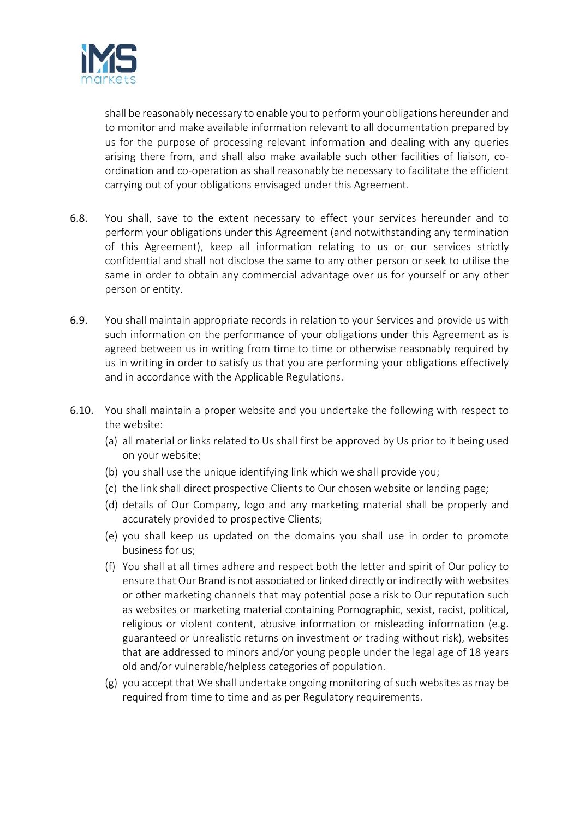

shall be reasonably necessary to enable you to perform your obligations hereunder and to monitor and make available information relevant to all documentation prepared by us for the purpose of processing relevant information and dealing with any queries arising there from, and shall also make available such other facilities of liaison, coordination and co-operation as shall reasonably be necessary to facilitate the efficient carrying out of your obligations envisaged under this Agreement.

- 6.8. You shall, save to the extent necessary to effect your services hereunder and to perform your obligations under this Agreement (and notwithstanding any termination of this Agreement), keep all information relating to us or our services strictly confidential and shall not disclose the same to any other person or seek to utilise the same in order to obtain any commercial advantage over us for yourself or any other person or entity.
- 6.9. You shall maintain appropriate records in relation to your Services and provide us with such information on the performance of your obligations under this Agreement as is agreed between us in writing from time to time or otherwise reasonably required by us in writing in order to satisfy us that you are performing your obligations effectively and in accordance with the Applicable Regulations.
- 6.10. You shall maintain a proper website and you undertake the following with respect to the website:
	- (a) all material or links related to Us shall first be approved by Us prior to it being used on your website;
	- (b) you shall use the unique identifying link which we shall provide you;
	- (c) the link shall direct prospective Clients to Our chosen website or landing page;
	- (d) details of Our Company, logo and any marketing material shall be properly and accurately provided to prospective Clients;
	- (e) you shall keep us updated on the domains you shall use in order to promote business for us;
	- (f) You shall at all times adhere and respect both the letter and spirit of Our policy to ensure that Our Brand is not associated or linked directly or indirectly with websites or other marketing channels that may potential pose a risk to Our reputation such as websites or marketing material containing Pornographic, sexist, racist, political, religious or violent content, abusive information or misleading information (e.g. guaranteed or unrealistic returns on investment or trading without risk), websites that are addressed to minors and/or young people under the legal age of 18 years old and/or vulnerable/helpless categories of population.
	- (g) you accept that We shall undertake ongoing monitoring of such websites as may be required from time to time and as per Regulatory requirements.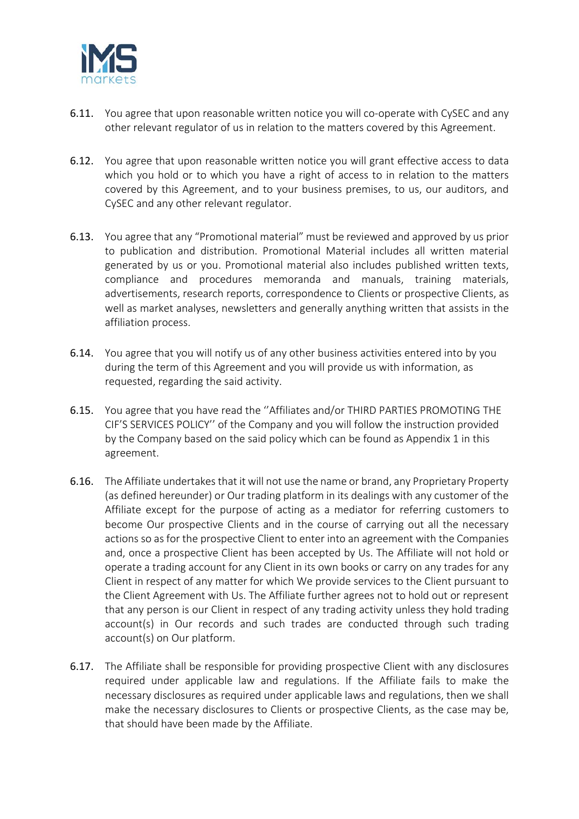

- 6.11. You agree that upon reasonable written notice you will co-operate with CySEC and any other relevant regulator of us in relation to the matters covered by this Agreement.
- 6.12. You agree that upon reasonable written notice you will grant effective access to data which you hold or to which you have a right of access to in relation to the matters covered by this Agreement, and to your business premises, to us, our auditors, and CySEC and any other relevant regulator.
- 6.13. You agree that any "Promotional material" must be reviewed and approved by us prior to publication and distribution. Promotional Material includes all written material generated by us or you. Promotional material also includes published written texts, compliance and procedures memoranda and manuals, training materials, advertisements, research reports, correspondence to Clients or prospective Clients, as well as market analyses, newsletters and generally anything written that assists in the affiliation process.
- 6.14. You agree that you will notify us of any other business activities entered into by you during the term of this Agreement and you will provide us with information, as requested, regarding the said activity.
- 6.15. You agree that you have read the ''Affiliates and/or THIRD PARTIES PROMOTING THE CIF'S SERVICES POLICY'' of the Company and you will follow the instruction provided by the Company based on the said policy which can be found as Appendix 1 in this agreement.
- 6.16. The Affiliate undertakes that it will not use the name or brand, any Proprietary Property (as defined hereunder) or Our trading platform in its dealings with any customer of the Affiliate except for the purpose of acting as a mediator for referring customers to become Our prospective Clients and in the course of carrying out all the necessary actions so as for the prospective Client to enter into an agreement with the Companies and, once a prospective Client has been accepted by Us. The Affiliate will not hold or operate a trading account for any Client in its own books or carry on any trades for any Client in respect of any matter for which We provide services to the Client pursuant to the Client Agreement with Us. The Affiliate further agrees not to hold out or represent that any person is our Client in respect of any trading activity unless they hold trading account(s) in Our records and such trades are conducted through such trading account(s) on Our platform.
- 6.17. The Affiliate shall be responsible for providing prospective Client with any disclosures required under applicable law and regulations. If the Affiliate fails to make the necessary disclosures as required under applicable laws and regulations, then we shall make the necessary disclosures to Clients or prospective Clients, as the case may be, that should have been made by the Affiliate.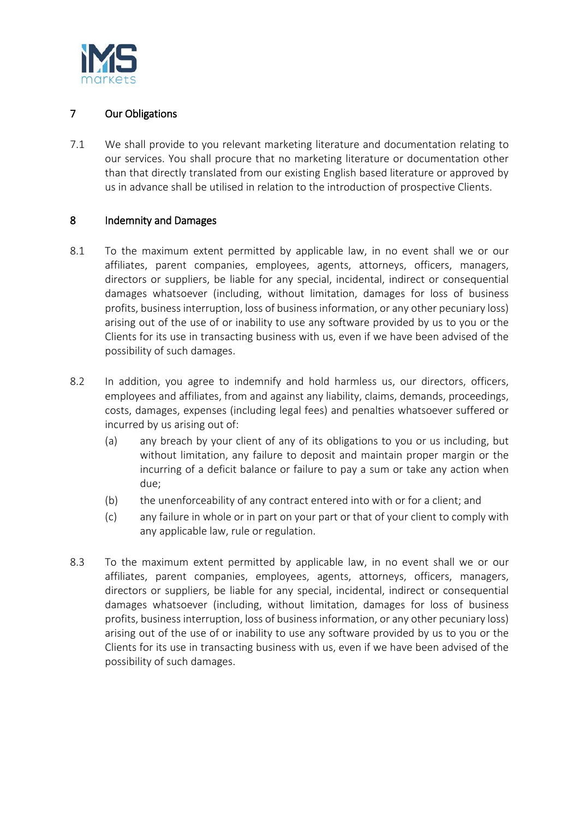

## 7 Our Obligations

7.1 We shall provide to you relevant marketing literature and documentation relating to our services. You shall procure that no marketing literature or documentation other than that directly translated from our existing English based literature or approved by us in advance shall be utilised in relation to the introduction of prospective Clients.

## 8 Indemnity and Damages

- 8.1 To the maximum extent permitted by applicable law, in no event shall we or our affiliates, parent companies, employees, agents, attorneys, officers, managers, directors or suppliers, be liable for any special, incidental, indirect or consequential damages whatsoever (including, without limitation, damages for loss of business profits, business interruption, loss of business information, or any other pecuniary loss) arising out of the use of or inability to use any software provided by us to you or the Clients for its use in transacting business with us, even if we have been advised of the possibility of such damages.
- 8.2 In addition, you agree to indemnify and hold harmless us, our directors, officers, employees and affiliates, from and against any liability, claims, demands, proceedings, costs, damages, expenses (including legal fees) and penalties whatsoever suffered or incurred by us arising out of:
	- (a) any breach by your client of any of its obligations to you or us including, but without limitation, any failure to deposit and maintain proper margin or the incurring of a deficit balance or failure to pay a sum or take any action when due;
	- (b) the unenforceability of any contract entered into with or for a client; and
	- (c) any failure in whole or in part on your part or that of your client to comply with any applicable law, rule or regulation.
- 8.3 To the maximum extent permitted by applicable law, in no event shall we or our affiliates, parent companies, employees, agents, attorneys, officers, managers, directors or suppliers, be liable for any special, incidental, indirect or consequential damages whatsoever (including, without limitation, damages for loss of business profits, business interruption, loss of business information, or any other pecuniary loss) arising out of the use of or inability to use any software provided by us to you or the Clients for its use in transacting business with us, even if we have been advised of the possibility of such damages.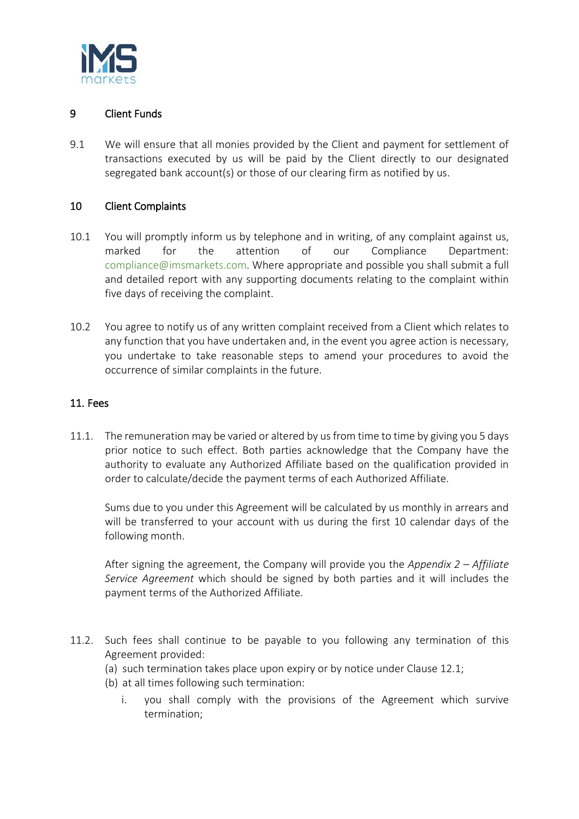

## 9 Client Funds

9.1 We will ensure that all monies provided by the Client and payment for settlement of transactions executed by us will be paid by the Client directly to our designated segregated bank account(s) or those of our clearing firm as notified by us.

#### 10 Client Complaints

- 10.1 You will promptly inform us by telephone and in writing, of any complaint against us, marked for the attention of our Compliance Department: [compliance@imsmarkets.com.](mailto:compliance@imsmarkets.com) Where appropriate and possible you shall submit a full and detailed report with any supporting documents relating to the complaint within five days of receiving the complaint.
- 10.2 You agree to notify us of any written complaint received from a Client which relates to any function that you have undertaken and, in the event you agree action is necessary, you undertake to take reasonable steps to amend your procedures to avoid the occurrence of similar complaints in the future.

#### 11. Fees

11.1. The remuneration may be varied or altered by us from time to time by giving you 5 days prior notice to such effect. Both parties acknowledge that the Company have the authority to evaluate any Authorized Affiliate based on the qualification provided in order to calculate/decide the payment terms of each Authorized Affiliate.

Sums due to you under this Agreement will be calculated by us monthly in arrears and will be transferred to your account with us during the first 10 calendar days of the following month.

After signing the agreement, the Company will provide you the *Appendix 2 – Affiliate Service Agreement* which should be signed by both parties and it will includes the payment terms of the Authorized Affiliate.

- 11.2. Such fees shall continue to be payable to you following any termination of this Agreement provided:
	- (a) such termination takes place upon expiry or by notice under Clause 12.1;
	- (b) at all times following such termination:
		- i. you shall comply with the provisions of the Agreement which survive termination;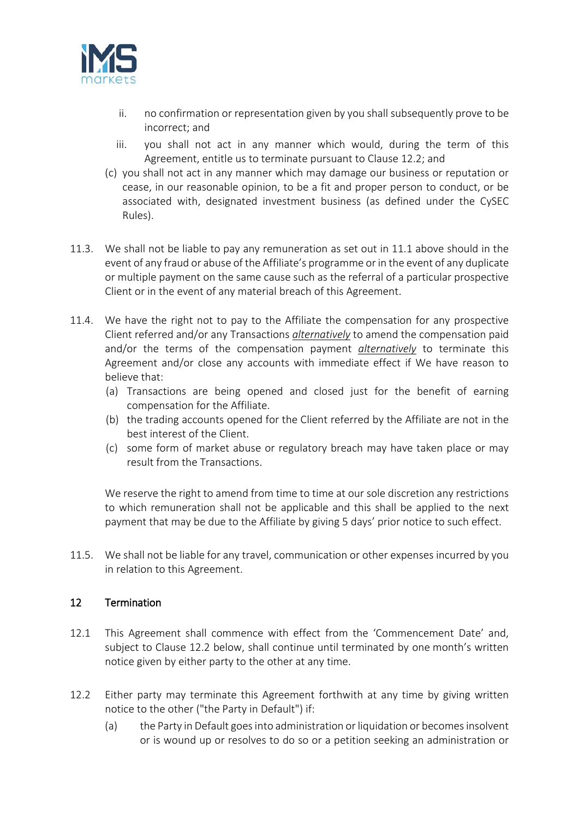

- ii. no confirmation or representation given by you shall subsequently prove to be incorrect; and
- iii. you shall not act in any manner which would, during the term of this Agreement, entitle us to terminate pursuant to Clause 12.2; and
- (c) you shall not act in any manner which may damage our business or reputation or cease, in our reasonable opinion, to be a fit and proper person to conduct, or be associated with, designated investment business (as defined under the CySEC Rules).
- 11.3. We shall not be liable to pay any remuneration as set out in 11.1 above should in the event of any fraud or abuse of the Affiliate's programme or in the event of any duplicate or multiple payment on the same cause such as the referral of a particular prospective Client or in the event of any material breach of this Agreement.
- 11.4. We have the right not to pay to the Affiliate the compensation for any prospective Client referred and/or any Transactions *alternatively* to amend the compensation paid and/or the terms of the compensation payment *alternatively* to terminate this Agreement and/or close any accounts with immediate effect if We have reason to believe that:
	- (a) Transactions are being opened and closed just for the benefit of earning compensation for the Affiliate.
	- (b) the trading accounts opened for the Client referred by the Affiliate are not in the best interest of the Client.
	- (c) some form of market abuse or regulatory breach may have taken place or may result from the Transactions.

We reserve the right to amend from time to time at our sole discretion any restrictions to which remuneration shall not be applicable and this shall be applied to the next payment that may be due to the Affiliate by giving 5 days' prior notice to such effect.

11.5. We shall not be liable for any travel, communication or other expenses incurred by you in relation to this Agreement.

## 12 Termination

- 12.1 This Agreement shall commence with effect from the 'Commencement Date' and, subject to Clause 12.2 below, shall continue until terminated by one month's written notice given by either party to the other at any time.
- 12.2 Either party may terminate this Agreement forthwith at any time by giving written notice to the other ("the Party in Default") if:
	- (a) the Party in Default goes into administration or liquidation or becomes insolvent or is wound up or resolves to do so or a petition seeking an administration or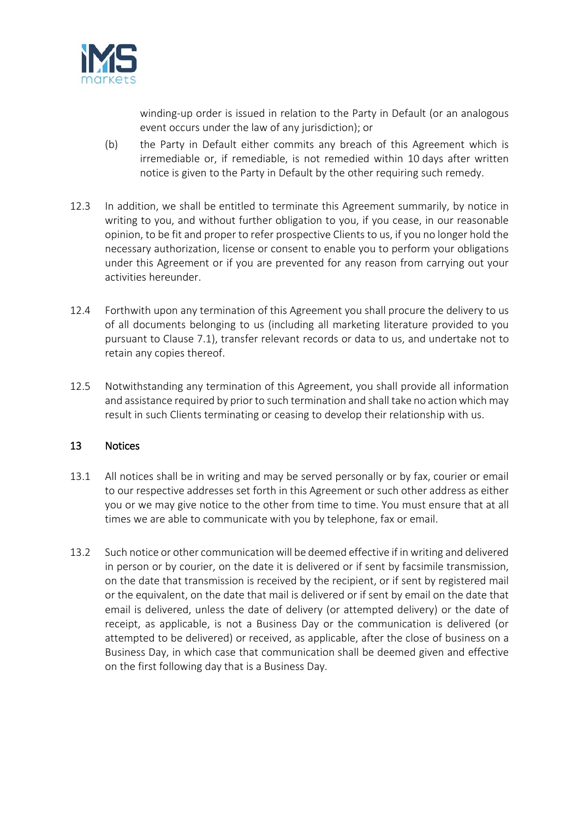

winding-up order is issued in relation to the Party in Default (or an analogous event occurs under the law of any jurisdiction); or

- (b) the Party in Default either commits any breach of this Agreement which is irremediable or, if remediable, is not remedied within 10 days after written notice is given to the Party in Default by the other requiring such remedy.
- 12.3 In addition, we shall be entitled to terminate this Agreement summarily, by notice in writing to you, and without further obligation to you, if you cease, in our reasonable opinion, to be fit and proper to refer prospective Clients to us, if you no longer hold the necessary authorization, license or consent to enable you to perform your obligations under this Agreement or if you are prevented for any reason from carrying out your activities hereunder.
- 12.4 Forthwith upon any termination of this Agreement you shall procure the delivery to us of all documents belonging to us (including all marketing literature provided to you pursuant to Clause 7.1), transfer relevant records or data to us, and undertake not to retain any copies thereof.
- 12.5 Notwithstanding any termination of this Agreement, you shall provide all information and assistance required by prior to such termination and shall take no action which may result in such Clients terminating or ceasing to develop their relationship with us.

## 13 Notices

- 13.1 All notices shall be in writing and may be served personally or by fax, courier or email to our respective addresses set forth in this Agreement or such other address as either you or we may give notice to the other from time to time. You must ensure that at all times we are able to communicate with you by telephone, fax or email.
- 13.2 Such notice or other communication will be deemed effective if in writing and delivered in person or by courier, on the date it is delivered or if sent by facsimile transmission, on the date that transmission is received by the recipient, or if sent by registered mail or the equivalent, on the date that mail is delivered or if sent by email on the date that email is delivered, unless the date of delivery (or attempted delivery) or the date of receipt, as applicable, is not a Business Day or the communication is delivered (or attempted to be delivered) or received, as applicable, after the close of business on a Business Day, in which case that communication shall be deemed given and effective on the first following day that is a Business Day.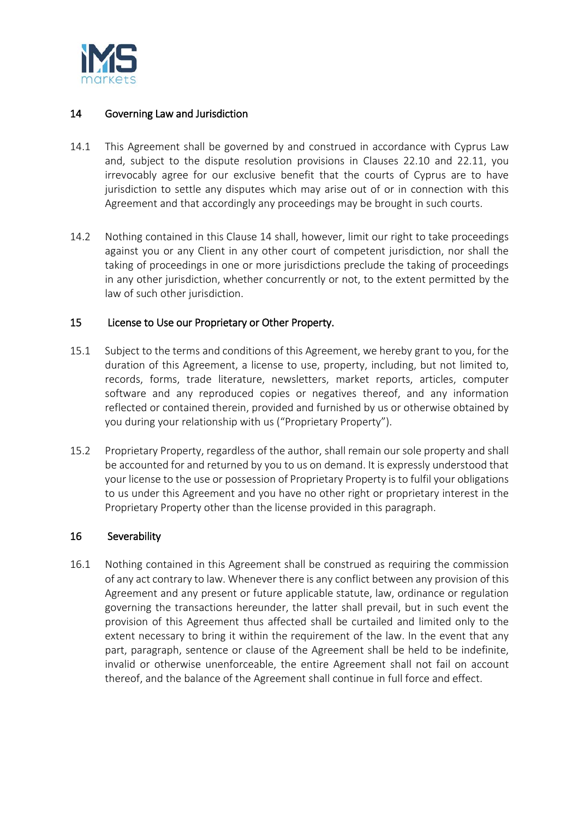

## 14 Governing Law and Jurisdiction

- 14.1 This Agreement shall be governed by and construed in accordance with Cyprus Law and, subject to the dispute resolution provisions in Clauses 22.10 and 22.11, you irrevocably agree for our exclusive benefit that the courts of Cyprus are to have jurisdiction to settle any disputes which may arise out of or in connection with this Agreement and that accordingly any proceedings may be brought in such courts.
- 14.2 Nothing contained in this Clause 14 shall, however, limit our right to take proceedings against you or any Client in any other court of competent jurisdiction, nor shall the taking of proceedings in one or more jurisdictions preclude the taking of proceedings in any other jurisdiction, whether concurrently or not, to the extent permitted by the law of such other jurisdiction.

#### 15 License to Use our Proprietary or Other Property.

- 15.1 Subject to the terms and conditions of this Agreement, we hereby grant to you, for the duration of this Agreement, a license to use, property, including, but not limited to, records, forms, trade literature, newsletters, market reports, articles, computer software and any reproduced copies or negatives thereof, and any information reflected or contained therein, provided and furnished by us or otherwise obtained by you during your relationship with us ("Proprietary Property").
- 15.2 Proprietary Property, regardless of the author, shall remain our sole property and shall be accounted for and returned by you to us on demand. It is expressly understood that your license to the use or possession of Proprietary Property is to fulfil your obligations to us under this Agreement and you have no other right or proprietary interest in the Proprietary Property other than the license provided in this paragraph.

## 16 Severability

16.1 Nothing contained in this Agreement shall be construed as requiring the commission of any act contrary to law. Whenever there is any conflict between any provision of this Agreement and any present or future applicable statute, law, ordinance or regulation governing the transactions hereunder, the latter shall prevail, but in such event the provision of this Agreement thus affected shall be curtailed and limited only to the extent necessary to bring it within the requirement of the law. In the event that any part, paragraph, sentence or clause of the Agreement shall be held to be indefinite, invalid or otherwise unenforceable, the entire Agreement shall not fail on account thereof, and the balance of the Agreement shall continue in full force and effect.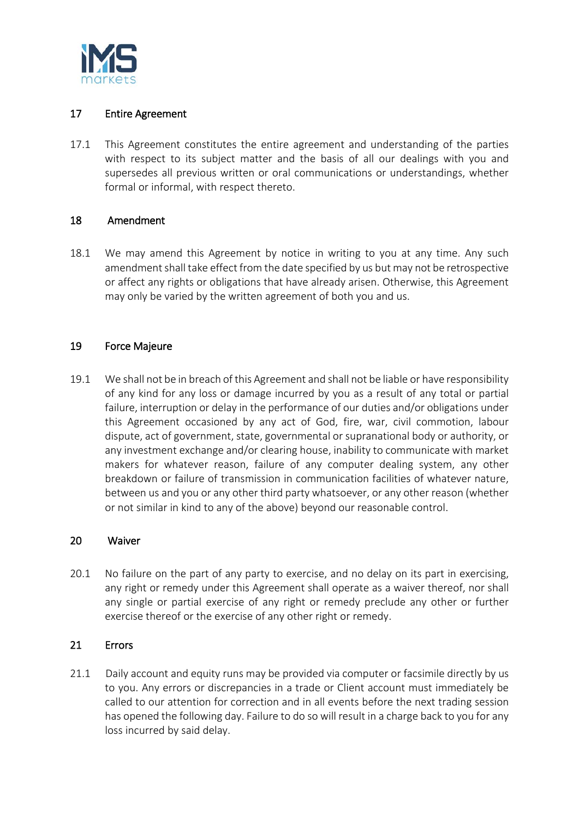

## 17 Entire Agreement

17.1 This Agreement constitutes the entire agreement and understanding of the parties with respect to its subject matter and the basis of all our dealings with you and supersedes all previous written or oral communications or understandings, whether formal or informal, with respect thereto.

#### 18 Amendment

18.1 We may amend this Agreement by notice in writing to you at any time. Any such amendment shall take effect from the date specified by us but may not be retrospective or affect any rights or obligations that have already arisen. Otherwise, this Agreement may only be varied by the written agreement of both you and us.

#### 19 Force Majeure

19.1 We shall not be in breach of this Agreement and shall not be liable or have responsibility of any kind for any loss or damage incurred by you as a result of any total or partial failure, interruption or delay in the performance of our duties and/or obligations under this Agreement occasioned by any act of God, fire, war, civil commotion, labour dispute, act of government, state, governmental or supranational body or authority, or any investment exchange and/or clearing house, inability to communicate with market makers for whatever reason, failure of any computer dealing system, any other breakdown or failure of transmission in communication facilities of whatever nature, between us and you or any other third party whatsoever, or any other reason (whether or not similar in kind to any of the above) beyond our reasonable control.

#### 20 Waiver

20.1 No failure on the part of any party to exercise, and no delay on its part in exercising, any right or remedy under this Agreement shall operate as a waiver thereof, nor shall any single or partial exercise of any right or remedy preclude any other or further exercise thereof or the exercise of any other right or remedy.

## 21 Errors

21.1 Daily account and equity runs may be provided via computer or facsimile directly by us to you. Any errors or discrepancies in a trade or Client account must immediately be called to our attention for correction and in all events before the next trading session has opened the following day. Failure to do so will result in a charge back to you for any loss incurred by said delay.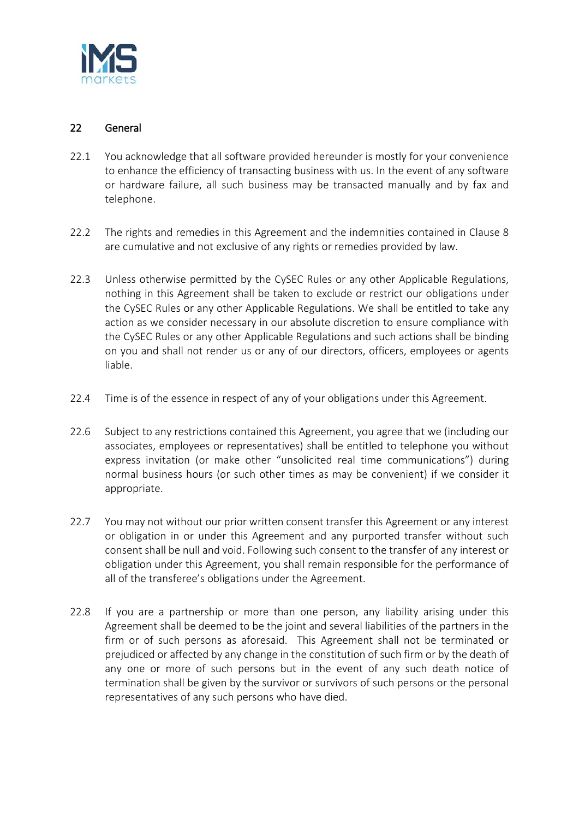

## 22 General

- 22.1 You acknowledge that all software provided hereunder is mostly for your convenience to enhance the efficiency of transacting business with us. In the event of any software or hardware failure, all such business may be transacted manually and by fax and telephone.
- 22.2 The rights and remedies in this Agreement and the indemnities contained in Clause 8 are cumulative and not exclusive of any rights or remedies provided by law.
- 22.3 Unless otherwise permitted by the CySEC Rules or any other Applicable Regulations, nothing in this Agreement shall be taken to exclude or restrict our obligations under the CySEC Rules or any other Applicable Regulations. We shall be entitled to take any action as we consider necessary in our absolute discretion to ensure compliance with the CySEC Rules or any other Applicable Regulations and such actions shall be binding on you and shall not render us or any of our directors, officers, employees or agents liable.
- 22.4 Time is of the essence in respect of any of your obligations under this Agreement.
- 22.6 Subject to any restrictions contained this Agreement, you agree that we (including our associates, employees or representatives) shall be entitled to telephone you without express invitation (or make other "unsolicited real time communications") during normal business hours (or such other times as may be convenient) if we consider it appropriate.
- 22.7 You may not without our prior written consent transfer this Agreement or any interest or obligation in or under this Agreement and any purported transfer without such consent shall be null and void. Following such consent to the transfer of any interest or obligation under this Agreement, you shall remain responsible for the performance of all of the transferee's obligations under the Agreement.
- 22.8 If you are a partnership or more than one person, any liability arising under this Agreement shall be deemed to be the joint and several liabilities of the partners in the firm or of such persons as aforesaid. This Agreement shall not be terminated or prejudiced or affected by any change in the constitution of such firm or by the death of any one or more of such persons but in the event of any such death notice of termination shall be given by the survivor or survivors of such persons or the personal representatives of any such persons who have died.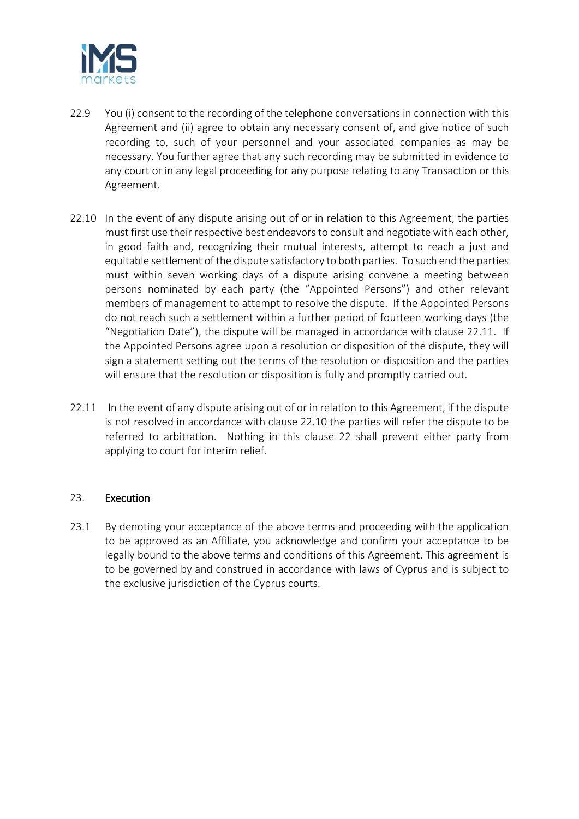

- 22.9 You (i) consent to the recording of the telephone conversations in connection with this Agreement and (ii) agree to obtain any necessary consent of, and give notice of such recording to, such of your personnel and your associated companies as may be necessary. You further agree that any such recording may be submitted in evidence to any court or in any legal proceeding for any purpose relating to any Transaction or this Agreement.
- 22.10 In the event of any dispute arising out of or in relation to this Agreement, the parties must first use their respective best endeavorsto consult and negotiate with each other, in good faith and, recognizing their mutual interests, attempt to reach a just and equitable settlement of the dispute satisfactory to both parties. To such end the parties must within seven working days of a dispute arising convene a meeting between persons nominated by each party (the "Appointed Persons") and other relevant members of management to attempt to resolve the dispute. If the Appointed Persons do not reach such a settlement within a further period of fourteen working days (the "Negotiation Date"), the dispute will be managed in accordance with clause 22.11. If the Appointed Persons agree upon a resolution or disposition of the dispute, they will sign a statement setting out the terms of the resolution or disposition and the parties will ensure that the resolution or disposition is fully and promptly carried out.
- 22.11 In the event of any dispute arising out of or in relation to this Agreement, if the dispute is not resolved in accordance with clause 22.10 the parties will refer the dispute to be referred to arbitration. Nothing in this clause 22 shall prevent either party from applying to court for interim relief.

#### 23. Execution

23.1 By denoting your acceptance of the above terms and proceeding with the application to be approved as an Affiliate, you acknowledge and confirm your acceptance to be legally bound to the above terms and conditions of this Agreement. This agreement is to be governed by and construed in accordance with laws of Cyprus and is subject to the exclusive jurisdiction of the Cyprus courts.